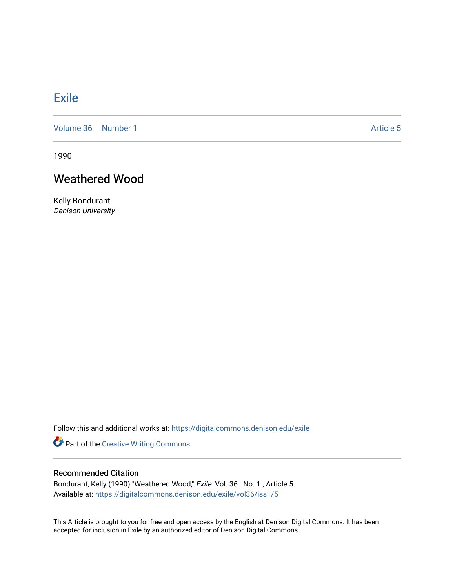## **[Exile](https://digitalcommons.denison.edu/exile)**

[Volume 36](https://digitalcommons.denison.edu/exile/vol36) [Number 1](https://digitalcommons.denison.edu/exile/vol36/iss1) Article 5

1990

## Weathered Wood

Kelly Bondurant Denison University

Follow this and additional works at: [https://digitalcommons.denison.edu/exile](https://digitalcommons.denison.edu/exile?utm_source=digitalcommons.denison.edu%2Fexile%2Fvol36%2Fiss1%2F5&utm_medium=PDF&utm_campaign=PDFCoverPages) 

Part of the [Creative Writing Commons](http://network.bepress.com/hgg/discipline/574?utm_source=digitalcommons.denison.edu%2Fexile%2Fvol36%2Fiss1%2F5&utm_medium=PDF&utm_campaign=PDFCoverPages) 

## Recommended Citation

Bondurant, Kelly (1990) "Weathered Wood," Exile: Vol. 36 : No. 1, Article 5. Available at: [https://digitalcommons.denison.edu/exile/vol36/iss1/5](https://digitalcommons.denison.edu/exile/vol36/iss1/5?utm_source=digitalcommons.denison.edu%2Fexile%2Fvol36%2Fiss1%2F5&utm_medium=PDF&utm_campaign=PDFCoverPages) 

This Article is brought to you for free and open access by the English at Denison Digital Commons. It has been accepted for inclusion in Exile by an authorized editor of Denison Digital Commons.